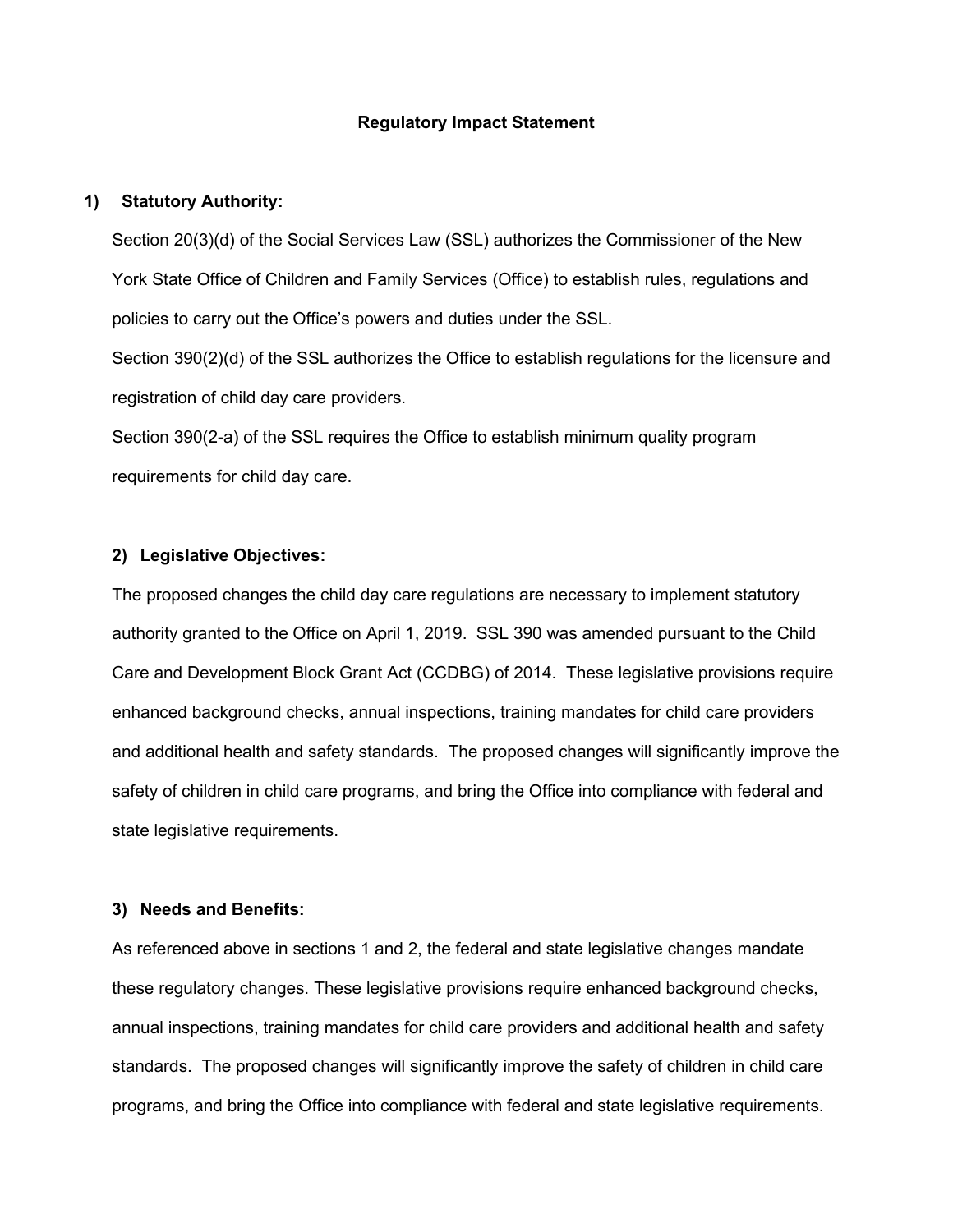#### **Regulatory Impact Statement**

#### **1) Statutory Authority:**

Section 20(3)(d) of the Social Services Law (SSL) authorizes the Commissioner of the New York State Office of Children and Family Services (Office) to establish rules, regulations and policies to carry out the Office's powers and duties under the SSL.

Section 390(2)(d) of the SSL authorizes the Office to establish regulations for the licensure and registration of child day care providers.

Section 390(2-a) of the SSL requires the Office to establish minimum quality program requirements for child day care.

### **2) Legislative Objectives:**

The proposed changes the child day care regulations are necessary to implement statutory authority granted to the Office on April 1, 2019. SSL 390 was amended pursuant to the Child Care and Development Block Grant Act (CCDBG) of 2014. These legislative provisions require enhanced background checks, annual inspections, training mandates for child care providers and additional health and safety standards. The proposed changes will significantly improve the safety of children in child care programs, and bring the Office into compliance with federal and state legislative requirements.

### **3) Needs and Benefits:**

As referenced above in sections 1 and 2, the federal and state legislative changes mandate these regulatory changes. These legislative provisions require enhanced background checks, annual inspections, training mandates for child care providers and additional health and safety standards. The proposed changes will significantly improve the safety of children in child care programs, and bring the Office into compliance with federal and state legislative requirements.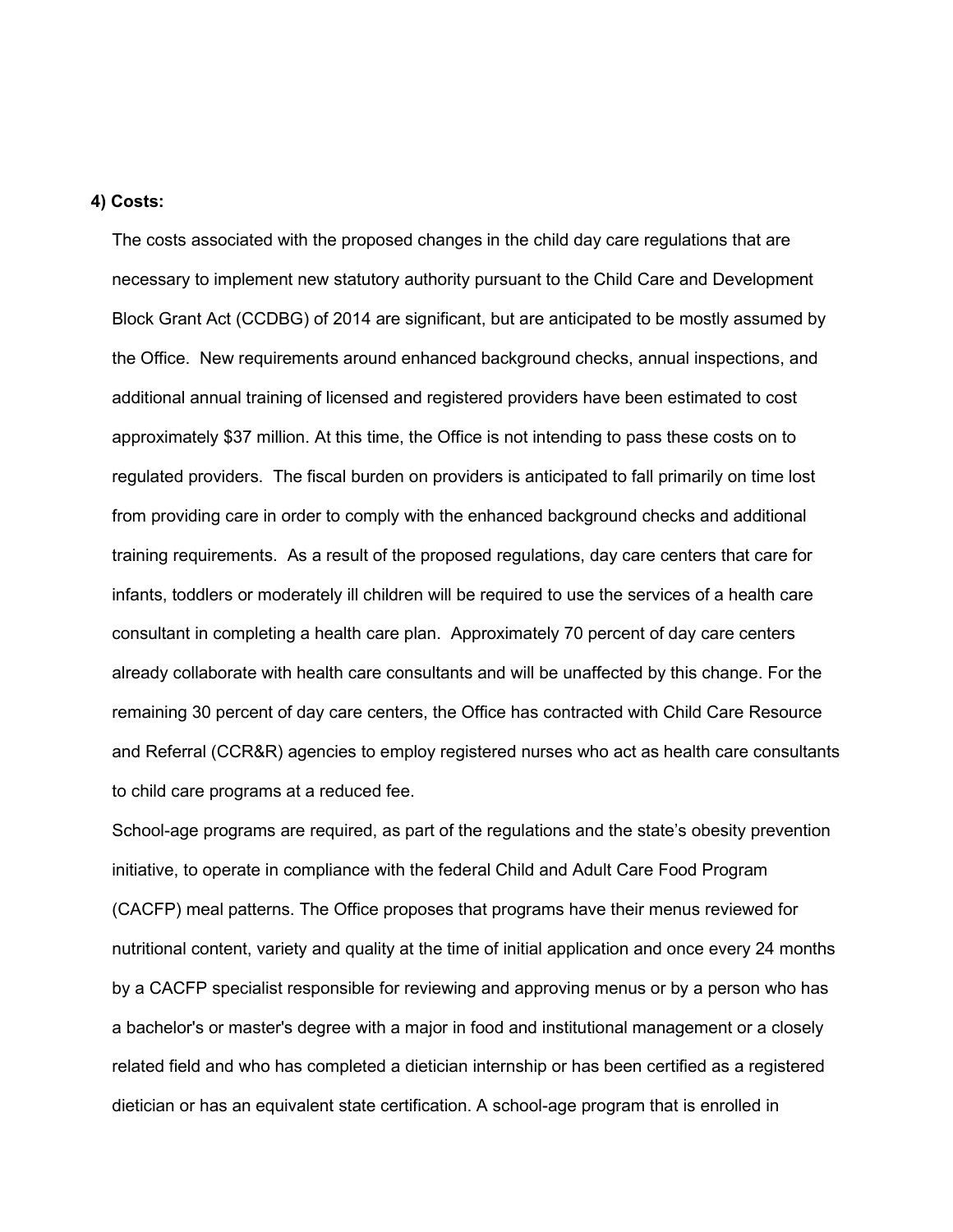#### **4) Costs:**

The costs associated with the proposed changes in the child day care regulations that are necessary to implement new statutory authority pursuant to the Child Care and Development Block Grant Act (CCDBG) of 2014 are significant, but are anticipated to be mostly assumed by the Office. New requirements around enhanced background checks, annual inspections, and additional annual training of licensed and registered providers have been estimated to cost approximately \$37 million. At this time, the Office is not intending to pass these costs on to regulated providers. The fiscal burden on providers is anticipated to fall primarily on time lost from providing care in order to comply with the enhanced background checks and additional training requirements. As a result of the proposed regulations, day care centers that care for infants, toddlers or moderately ill children will be required to use the services of a health care consultant in completing a health care plan. Approximately 70 percent of day care centers already collaborate with health care consultants and will be unaffected by this change. For the remaining 30 percent of day care centers, the Office has contracted with Child Care Resource and Referral (CCR&R) agencies to employ registered nurses who act as health care consultants to child care programs at a reduced fee.

School-age programs are required, as part of the regulations and the state's obesity prevention initiative, to operate in compliance with the federal Child and Adult Care Food Program (CACFP) meal patterns. The Office proposes that programs have their menus reviewed for nutritional content, variety and quality at the time of initial application and once every 24 months by a CACFP specialist responsible for reviewing and approving menus or by a person who has a bachelor's or master's degree with a major in food and institutional management or a closely related field and who has completed a dietician internship or has been certified as a registered dietician or has an equivalent state certification. A school-age program that is enrolled in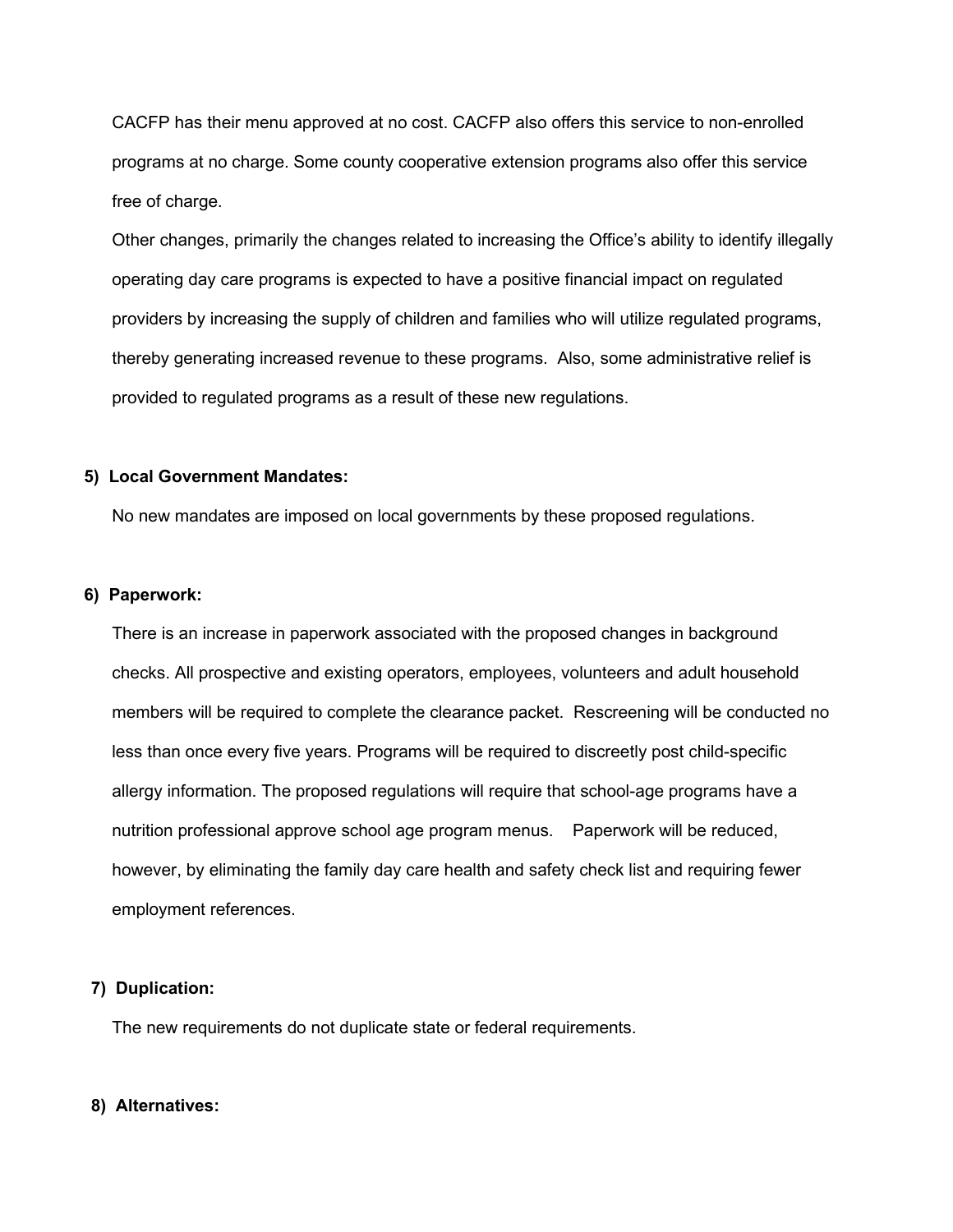CACFP has their menu approved at no cost. CACFP also offers this service to non-enrolled programs at no charge. Some county cooperative extension programs also offer this service free of charge.

Other changes, primarily the changes related to increasing the Office's ability to identify illegally operating day care programs is expected to have a positive financial impact on regulated providers by increasing the supply of children and families who will utilize regulated programs, thereby generating increased revenue to these programs. Also, some administrative relief is provided to regulated programs as a result of these new regulations.

#### **5) Local Government Mandates:**

No new mandates are imposed on local governments by these proposed regulations.

#### **6) Paperwork:**

There is an increase in paperwork associated with the proposed changes in background checks. All prospective and existing operators, employees, volunteers and adult household members will be required to complete the clearance packet. Rescreening will be conducted no less than once every five years. Programs will be required to discreetly post child-specific allergy information. The proposed regulations will require that school-age programs have a nutrition professional approve school age program menus. Paperwork will be reduced, however, by eliminating the family day care health and safety check list and requiring fewer employment references.

## **7) Duplication:**

The new requirements do not duplicate state or federal requirements.

#### **8) Alternatives:**